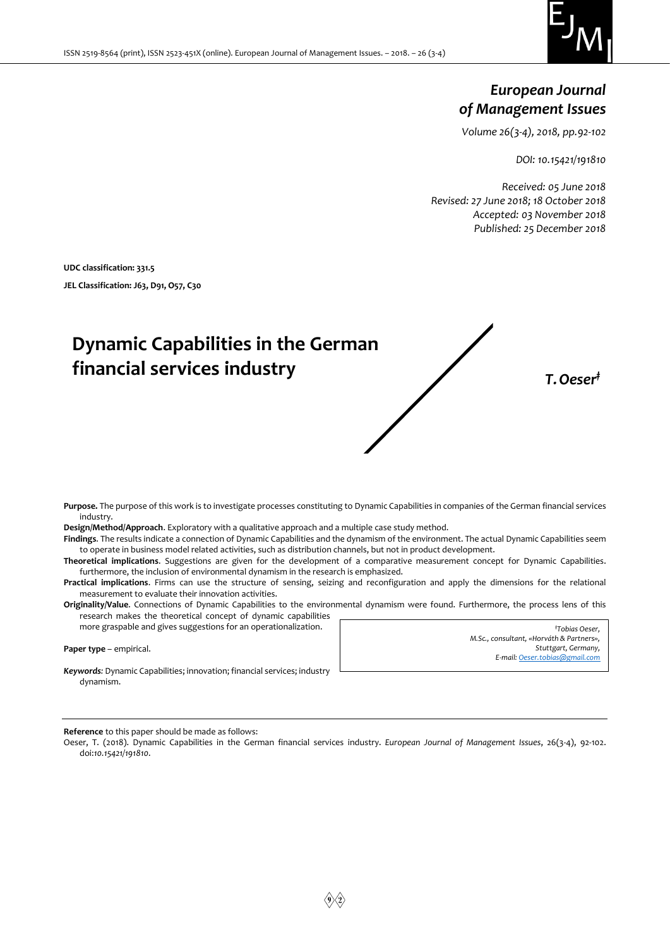

## *European Journal of Management Issues*

*Volume 26(3-4), 2018, pp.92-102*

*DOI: 10.15421/191810*

*Received: 05 June 2018 Revised: 27 June 2018; 18 October 2018 Accepted: 03 November 2018 Published: 25 December 2018*

**UDC classification: 331.5 JEL Classification: J63, D91, O57, C30**

# **Dynamic Capabilities in the German financial services industry** *T.Oeser‡*

**Purpose.** The purpose of this work is to investigate processes constituting to Dynamic Capabilities in companies of the German financial services industry.

**Design/Method/Approach**. Exploratory with a qualitative approach and a multiple case study method.

**Findings**. The results indicate a connection of Dynamic Capabilities and the dynamism of the environment. The actual Dynamic Capabilities seem to operate in business model related activities, such as distribution channels, but not in product development.

**Theoretical implications**. Suggestions are given for the development of a comparative measurement concept for Dynamic Capabilities. furthermore, the inclusion of environmental dynamism in the research is emphasized.

**Practical implications**. Firms can use the structure of sensing, seizing and reconfiguration and apply the dimensions for the relational measurement to evaluate their innovation activities.

**Originality/Value**. Connections of Dynamic Capabilities to the environmental dynamism were found. Furthermore, the process lens of this research makes the theoretical concept of dynamic capabilities

**Paper type** – empirical.

*Keywords:* Dynamic Capabilities; innovation; financial services; industry dynamism.

more graspable and gives suggestions for an operationalization.

| <i><b>*Tobias Oeser.</b></i>             |
|------------------------------------------|
| M.Sc., consultant, «Horváth & Partners», |
| Stuttgart, Germany,                      |
| E-mail: Oeser.tobias@gmail.com           |
|                                          |

**Reference** to this paper should be made as follows:

Oeser, T. (2018). Dynamic Capabilities in the German financial services industry. *European Journal of Management Issues*, 26(3-4), 92-102. doi:*10.15421/191810*.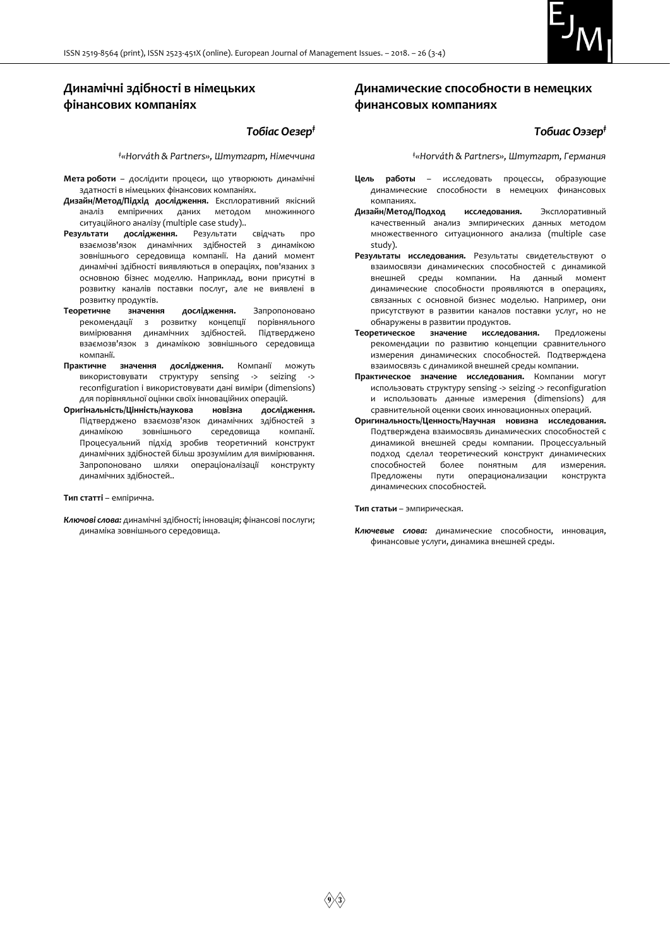

## **Динамічні здібності в німецьких фінансових компаніях**

#### *Тобіас Оезер‡*

*‡«Horváth & Partners», Штутгарт, Німеччина*

- **Мета роботи** дослідити процеси, що утворюють динамічні здатності в німецьких фінансових компаніях.
- **Дизайн/Метод/Підхід дослідження.** Експлоративний якісний аналіз емпіричних даних методом множинного ситуаційного аналізу (multiple case study)..
- **Результати дослідження.** Результати свідчать про взаємозв'язок динамічних здібностей з динамікою зовнішнього середовища компанії. На даний момент динамічні здібності виявляються в операціях, пов'язаних з основною бізнес моделлю. Наприклад, вони присутні в розвитку каналів поставки послуг, але не виявлені в розвитку продуктів.
- **Теоретичне значення дослідження.** Запропоновано рекомендації з розвитку концепції порівняльного вимірювання динамічних здібностей. Підтверджено взаємозв'язок з динамікою зовнішнього середовища компанії.
- **Практичне значення дослідження.** Компанії можуть використовувати структуру sensing -> seizing -> reconfiguration і використовувати дані виміри (dimensions) для порівняльної оцінки своїх інноваційних операцій.
- **Оригінальність/Цінність/наукова новізна дослідження.** Підтверджено взаємозв'язок динамічних здібностей з<br>динамікою — зовнішнього — середовища — компанії. зовнішнього середовища компанії. Процесуальний підхід зробив теоретичний конструкт динамічних здібностей більш зрозумілим для вимірювання. Запропоновано шляхи операціоналізації конструкту динамічних здібностей..

#### **Тип статті** – емпірична.

*Ключові слова:* динамічні здібності; інновація; фінансові послуги; динаміка зовнішнього середовища.

## **Динамические способности в немецких финансовых компаниях**

#### *Тобиас Оэзер‡*

*‡«Horváth & Partners», Штутгарт, Германия*

- **Цель работы** исследовать процессы, образующие динамические способности в немецких компаниях.
- **Дизайн/Метод/Подход исследования.** Эксплоративный качественный анализ эмпирических данных методом множественного ситуационного анализа (multiple case study).
- **Результаты исследования.** Результаты свидетельствуют о взаимосвязи динамических способностей с динамикой внешней среды компании. На данный момент динамические способности проявляются в операциях, связанных с основной бизнес моделью. Например, они присутствуют в развитии каналов поставки услуг, но не обнаружены в развитии продуктов.
- **Теоретическое значение исследования.** Предложены рекомендации по развитию концепции сравнительного измерения динамических способностей. Подтверждена взаимосвязь с динамикой внешней среды компании.
- **Практическое значение исследования.** Компании могут использовать структуру sensing -> seizing -> reconfiguration и использовать данные измерения (dimensions) для сравнительной оценки своих инновационных операций.
- **Оригинальность/Ценность/Научная новизна исследования.**  Подтверждена взаимосвязь динамических способностей с динамикой внешней среды компании. Процессуальный подход сделал теоретический конструкт динамических способностей более понятным для измерения. Предложены пути операционализации конструкта динамических способностей.

**Тип статьи** – эмпирическая.

*Ключевые слова:* динамические способности, инновация, финансовые услуги, динамика внешней среды.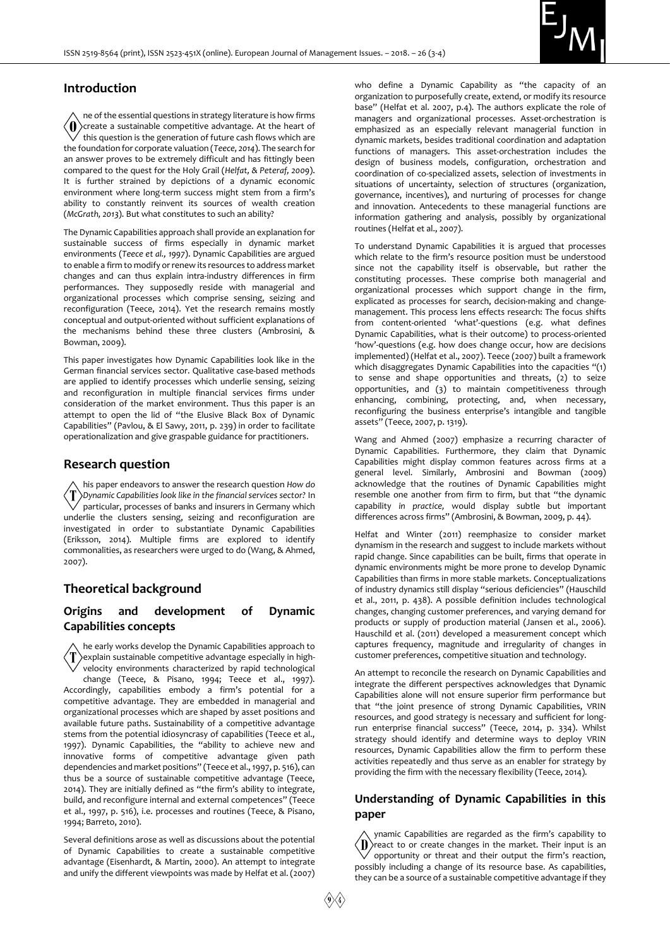

#### **Introduction**

ne of the essential questions in strategy literature is how firms  $\langle$  ()) create a sustainable competitive advantage. At the heart of this question is the generation of future cash flows which are the foundation for corporate valuation (*Teece, 2014*). The search for an answer proves to be extremely difficult and has fittingly been compared to the quest for the Holy Grail (*Helfat, & Peteraf, 2009*). It is further strained by depictions of a dynamic economic environment where long-term success might stem from a firm's ability to constantly reinvent its sources of wealth creation (*McGrath, 2013*). But what constitutes to such an ability?

The Dynamic Capabilities approach shall provide an explanation for sustainable success of firms especially in dynamic market environments (*Teece et al., 1997*). Dynamic Capabilities are argued to enable a firm to modify or renew its resources to address market changes and can thus explain intra-industry differences in firm performances. They supposedly reside with managerial and organizational processes which comprise sensing, seizing and reconfiguration (Teece, 2014). Yet the research remains mostly conceptual and output-oriented without sufficient explanations of the mechanisms behind these three clusters (Ambrosini, & Bowman, 2009).

This paper investigates how Dynamic Capabilities look like in the German financial services sector. Qualitative case-based methods are applied to identify processes which underlie sensing, seizing and reconfiguration in multiple financial services firms under consideration of the market environment. Thus this paper is an attempt to open the lid of "the Elusive Black Box of Dynamic Capabilities" (Pavlou, & El Sawy, 2011, p. 239) in order to facilitate operationalization and give graspable guidance for practitioners.

#### **Research question**

his paper endeavors to answer the research question *How do*   $\langle \mathrm{T} \rangle$ Dynamic Capabilities look like in the financial services sector? In particular, processes of banks and insurers in Germany which underlie the clusters sensing, seizing and reconfiguration are investigated in order to substantiate Dynamic Capabilities (Eriksson, 2014). Multiple firms are explored to identify commonalities, as researchers were urged to do (Wang, & Ahmed, 2007).

## **Theoretical background**

## **Оrigins and development of Dynamic Capabilities concepts**

he early works develop the Dynamic Capabilities approach to explain sustainable competitive advantage especially in highvelocity environments characterized by rapid technological change (Teece, & Pisano, 1994; Teece et al., 1997). Accordingly, capabilities embody a firm's potential for a competitive advantage. They are embedded in managerial and organizational processes which are shaped by asset positions and available future paths. Sustainability of a competitive advantage stems from the potential idiosyncrasy of capabilities (Teece et al., 1997). Dynamic Capabilities, the "ability to achieve new and innovative forms of competitive advantage given path dependencies and market positions" (Teece et al., 1997, p. 516), can thus be a source of sustainable competitive advantage (Teece, 2014). They are initially defined as "the firm's ability to integrate, build, and reconfigure internal and external competences" (Teece et al., 1997, p. 516), i.e. processes and routines (Teece, & Pisano, 1994; Barreto, 2010).

Several definitions arose as well as discussions about the potential of Dynamic Capabilities to create a sustainable competitive advantage (Eisenhardt, & Martin, 2000). An attempt to integrate and unify the different viewpoints was made by Helfat et al. (2007) who define a Dynamic Capability as "the capacity of an organization to purposefully create, extend, or modify its resource base" (Helfat et al. 2007, p.4). The authors explicate the role of managers and organizational processes. Asset-orchestration is emphasized as an especially relevant managerial function in dynamic markets, besides traditional coordination and adaptation functions of managers. This asset-orchestration includes the design of business models, configuration, orchestration and coordination of co-specialized assets, selection of investments in situations of uncertainty, selection of structures (organization, governance, incentives), and nurturing of processes for change and innovation. Antecedents to these managerial functions are information gathering and analysis, possibly by organizational routines (Helfat et al., 2007).

To understand Dynamic Capabilities it is argued that processes which relate to the firm's resource position must be understood since not the capability itself is observable, but rather the constituting processes. These comprise both managerial and organizational processes which support change in the firm, explicated as processes for search, decision-making and changemanagement. This process lens effects research: The focus shifts from content-oriented 'what'-questions (e.g. what defines Dynamic Capabilities, what is their outcome) to process-oriented 'how'-questions (e.g. how does change occur, how are decisions implemented) (Helfat et al., 2007). Teece (2007) built a framework which disaggregates Dynamic Capabilities into the capacities "(1) to sense and shape opportunities and threats, (2) to seize opportunities, and (3) to maintain competitiveness through enhancing, combining, protecting, and, when necessary, reconfiguring the business enterprise's intangible and tangible assets" (Teece, 2007, p. 1319).

Wang and Ahmed (2007) emphasize a recurring character of Dynamic Capabilities. Furthermore, they claim that Dynamic Capabilities might display common features across firms at a general level. Similarly, Ambrosini and Bowman (2009) acknowledge that the routines of Dynamic Capabilities might resemble one another from firm to firm, but that "the dynamic capability *in practice,* would display subtle but important differences across firms" (Ambrosini, & Bowman, 2009, p. 44).

Helfat and Winter (2011) reemphasize to consider market dynamism in the research and suggest to include markets without rapid change. Since capabilities can be built, firms that operate in dynamic environments might be more prone to develop Dynamic Capabilities than firms in more stable markets. Conceptualizations of industry dynamics still display "serious deficiencies" (Hauschild et al., 2011, p. 438). A possible definition includes technological changes, changing customer preferences, and varying demand for products or supply of production material (Jansen et al., 2006). Hauschild et al. (2011) developed a measurement concept which captures frequency, magnitude and irregularity of changes in customer preferences, competitive situation and technology.

An attempt to reconcile the research on Dynamic Capabilities and integrate the different perspectives acknowledges that Dynamic Capabilities alone will not ensure superior firm performance but that "the joint presence of strong Dynamic Capabilities, VRIN resources, and good strategy is necessary and sufficient for longrun enterprise financial success" (Teece, 2014, p. 334). Whilst strategy should identify and determine ways to deploy VRIN resources, Dynamic Capabilities allow the firm to perform these activities repeatedly and thus serve as an enabler for strategy by providing the firm with the necessary flexibility (Teece, 2014).

## **Understanding of Dynamic Capabilities in this paper**

ynamic Capabilities are regarded as the firm's capability to  $\langle \mathbf{l} \rangle$  react to or create changes in the market. Their input is an  $\sigma$  opportunity or threat and their output the firm's reaction, possibly including a change of its resource base. As capabilities, they can be a source of a sustainable competitive advantage if they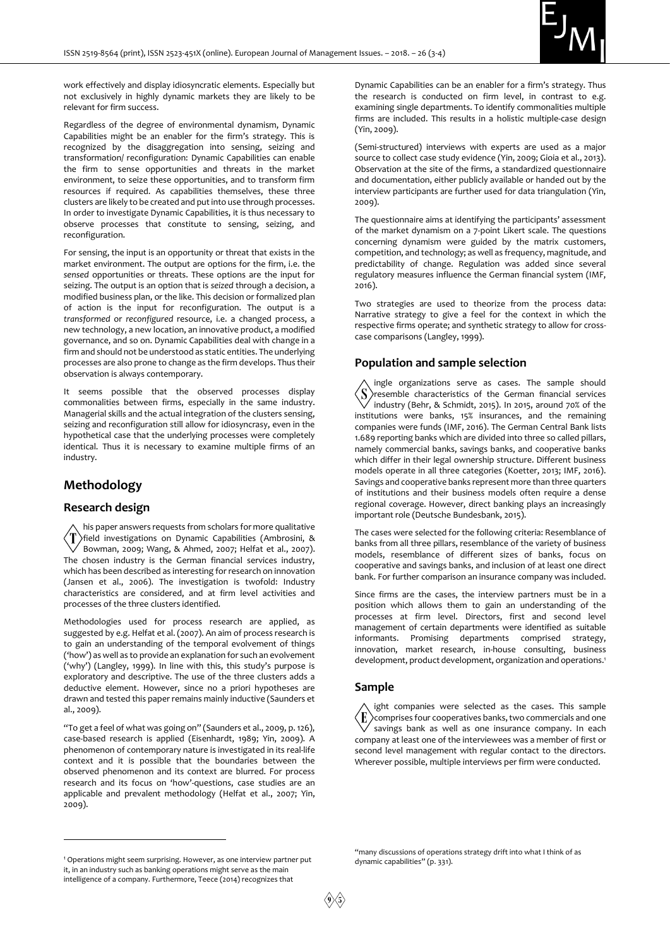

work effectively and display idiosyncratic elements. Especially but not exclusively in highly dynamic markets they are likely to be relevant for firm success.

Regardless of the degree of environmental dynamism, Dynamic Capabilities might be an enabler for the firm's strategy. This is recognized by the disaggregation into sensing, seizing and transformation/ reconfiguration: Dynamic Capabilities can enable the firm to sense opportunities and threats in the market environment, to seize these opportunities, and to transform firm resources if required. As capabilities themselves, these three clusters are likely to be created and put into use through processes. In order to investigate Dynamic Capabilities, it is thus necessary to observe processes that constitute to sensing, seizing, and reconfiguration.

For sensing, the input is an opportunity or threat that exists in the market environment. The output are options for the firm, i.e. the *sensed* opportunities or threats. These options are the input for seizing. The output is an option that is *seized* through a decision, a modified business plan, or the like. This decision or formalized plan of action is the input for reconfiguration. The output is a *transformed* or *reconfigured* resource, i.e. a changed process, a new technology, a new location, an innovative product, a modified governance, and so on. Dynamic Capabilities deal with change in a firm and should not be understood as static entities. The underlying processes are also prone to change as the firm develops. Thus their observation is always contemporary.

It seems possible that the observed processes display commonalities between firms, especially in the same industry. Managerial skills and the actual integration of the clusters sensing, seizing and reconfiguration still allow for idiosyncrasy, even in the hypothetical case that the underlying processes were completely identical. Thus it is necessary to examine multiple firms of an industry.

## **Methodology**

#### **Research design**

-

his paper answers requests from scholars for more qualitative Ί field investigations on Dynamic Capabilities (Ambrosini, & Bowman, 2009; Wang, & Ahmed, 2007; Helfat et al., 2007). The chosen industry is the German financial services industry, which has been described as interesting for research on innovation (Jansen et al., 2006). The investigation is twofold: Industry characteristics are considered, and at firm level activities and processes of the three clusters identified.

Methodologies used for process research are applied, as suggested by e.g. Helfat et al. (2007). An aim of process research is to gain an understanding of the temporal evolvement of things ('how') as well as to provide an explanation for such an evolvement ('why') (Langley, 1999). In line with this, this study's purpose is exploratory and descriptive. The use of the three clusters adds a deductive element. However, since no a priori hypotheses are drawn and tested this paper remains mainly inductive (Saunders et al., 2009).

"To get a feel of what was going on" (Saunders et al., 2009, p. 126), case-based research is applied (Eisenhardt, 1989; Yin, 2009). A phenomenon of contemporary nature is investigated in its real-life context and it is possible that the boundaries between the observed phenomenon and its context are blurred. For process research and its focus on 'how'-questions, case studies are an applicable and prevalent methodology (Helfat et al., 2007; Yin, 2009).

Dynamic Capabilities can be an enabler for a firm's strategy. Thus the research is conducted on firm level, in contrast to e.g. examining single departments. To identify commonalities multiple firms are included. This results in a holistic multiple-case design (Yin, 2009).

(Semi-structured) interviews with experts are used as a major source to collect case study evidence (Yin, 2009; Gioia et al., 2013). Observation at the site of the firms, a standardized questionnaire and documentation, either publicly available or handed out by the interview participants are further used for data triangulation (Yin, 2009).

The questionnaire aims at identifying the participants' assessment of the market dynamism on a 7-point Likert scale. The questions concerning dynamism were guided by the matrix customers, competition, and technology; as well as frequency, magnitude, and predictability of change. Regulation was added since several regulatory measures influence the German financial system (IMF, 2016).

Two strategies are used to theorize from the process data: Narrative strategy to give a feel for the context in which the respective firms operate; and synthetic strategy to allow for crosscase comparisons (Langley, 1999).

#### **Population and sample selection**

ingle organizations serve as cases. The sample should 'S resemble characteristics of the German financial services industry (Behr, & Schmidt, 2015). In 2015, around 70% of the institutions were banks, 15% insurances, and the remaining companies were funds (IMF, 2016). The German Central Bank lists 1.689 reporting banks which are divided into three so called pillars, namely commercial banks, savings banks, and cooperative banks which differ in their legal ownership structure. Different business models operate in all three categories (Koetter, 2013; IMF, 2016). Savings and cooperative banks represent more than three quarters of institutions and their business models often require a dense regional coverage. However, direct banking plays an increasingly important role (Deutsche Bundesbank, 2015).

The cases were selected for the following criteria: Resemblance of banks from all three pillars, resemblance of the variety of business models, resemblance of different sizes of banks, focus on cooperative and savings banks, and inclusion of at least one direct bank. For further comparison an insurance company was included.

Since firms are the cases, the interview partners must be in a position which allows them to gain an understanding of the processes at firm level. Directors, first and second level management of certain departments were identified as suitable informants. Promising departments comprised strategy, innovation, market research, in-house consulting, business development, product development, organization and operations.<sup>1</sup>

#### **Sample**

ight companies were selected as the cases. This sample  $\left( \mathbf{E}\right)$  $\rangle$ comprises four cooperatives banks, two commercials and one savings bank as well as one insurance company. In each company at least one of the interviewees was a member of first or second level management with regular contact to the directors. Wherever possible, multiple interviews per firm were conducted.

"many discussions of operations strategy drift into what I think of as dynamic capabilities" (p. 331).

<sup>1</sup> Operations might seem surprising. However, as one interview partner put it, in an industry such as banking operations might serve as the main intelligence of a company. Furthermore, Teece (2014) recognizes that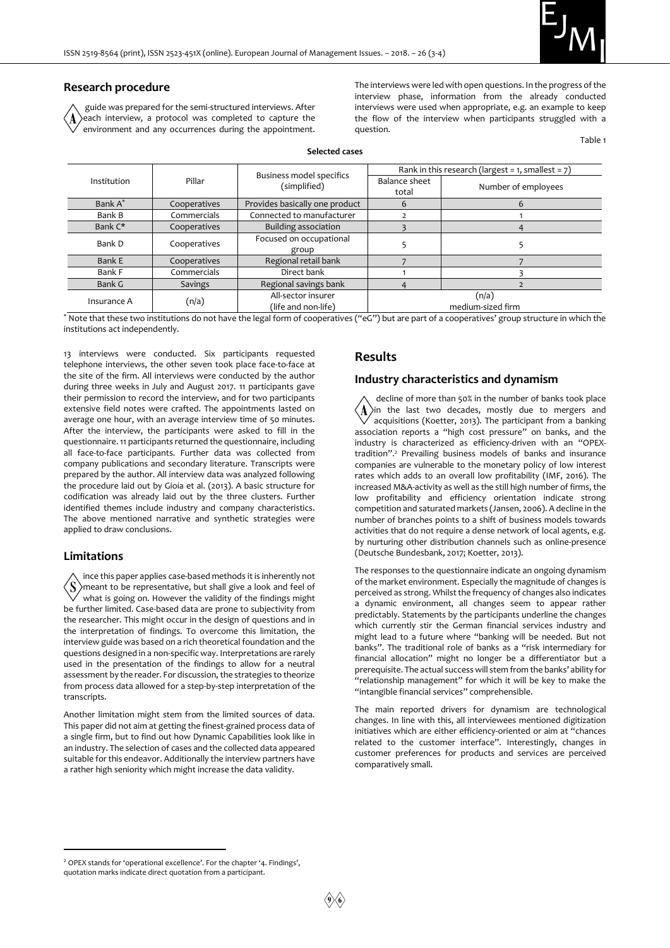

#### **Research procedure**

guide was prepared for the semi-structured interviews. After each interview, a protocol was completed to capture the environment and any occurrences during the appointment. The interviews were led with open questions. In the progress of the interview phase, information from the already conducted interviews were used when appropriate, e.g. an example to keep the flow of the interview when participants struggled with a question.

Table 1

| Institution | Pillar         | <b>Business model specifics</b><br>(simplified) | Rank in this research (largest = $1$ , smallest = $7$ ) |                     |
|-------------|----------------|-------------------------------------------------|---------------------------------------------------------|---------------------|
|             |                |                                                 | Balance sheet                                           | Number of employees |
|             |                |                                                 | total                                                   |                     |
| Bank A*     | Cooperatives   | Provides basically one product                  | 6                                                       | 6                   |
| Bank B      | Commercials    | Connected to manufacturer                       |                                                         |                     |
| Bank C*     | Cooperatives   | Building association                            |                                                         |                     |
| Bank D      | Cooperatives   | Focused on occupational                         |                                                         |                     |
|             |                | group                                           |                                                         |                     |
| Bank E      | Cooperatives   | Regional retail bank                            |                                                         |                     |
| Bank F      | Commercials    | Direct bank                                     |                                                         |                     |
| Bank G      | <b>Savings</b> | Regional savings bank                           |                                                         |                     |
| Insurance A | (n/a)          | All-sector insurer                              | (n/a)                                                   |                     |
|             |                | (life and non-life)                             | medium-sized firm                                       |                     |

\* Note that these two institutions do not have the legal form of cooperatives ("eG") but are part of a cooperatives' group structure in which the institutions act independently.

13 interviews were conducted. Six participants requested telephone interviews, the other seven took place face-to-face at the site of the firm. All interviews were conducted by the author during three weeks in July and August 2017. 11 participants gave their permission to record the interview, and for two participants extensive field notes were crafted. The appointments lasted on average one hour, with an average interview time of 50 minutes. After the interview, the participants were asked to fill in the questionnaire. 11 participants returned the questionnaire, including all face-to-face participants. Further data was collected from company publications and secondary literature. Transcripts were prepared by the author. All interview data was analyzed following the procedure laid out by Gioia et al. (2013). A basic structure for codification was already laid out by the three clusters. Further identified themes include industry and company characteristics. The above mentioned narrative and synthetic strategies were applied to draw conclusions.

#### **Limitations**

-

ince this paper applies case-based methods it is inherently not meant to be representative, but shall give a look and feel of what is going on. However the validity of the findings might be further limited. Case-based data are prone to subjectivity from the researcher. This might occur in the design of questions and in the interpretation of findings. To overcome this limitation, the interview guide was based on a rich theoretical foundation and the questions designed in a non-specific way. Interpretations are rarely used in the presentation of the findings to allow for a neutral assessment by the reader. For discussion, the strategies to theorize from process data allowed for a step-by-step interpretation of the transcripts.

Another limitation might stem from the limited sources of data. This paper did not aim at getting the finest-grained process data of a single firm, but to find out how Dynamic Capabilities look like in an industry. The selection of cases and the collected data appeared suitable for this endeavor. Additionally the interview partners have a rather high seniority which might increase the data validity.

#### **Results**

#### **Industry characteristics and dynamism**

decline of more than 50% in the number of banks took place in the last two decades, mostly due to mergers and acquisitions (Koetter, 2013). The participant from a banking association reports a "high cost pressure" on banks, and the industry is characterized as efficiency-driven with an "OPEXtradition".<sup>2</sup> Prevailing business models of banks and insurance companies are vulnerable to the monetary policy of low interest rates which adds to an overall low profitability (IMF, 2016). The increased M&A-activity as well as the still high number of firms, the low profitability and efficiency orientation indicate strong competition and saturated markets (Jansen, 2006). A decline in the number of branches points to a shift of business models towards activities that do not require a dense network of local agents, e.g. by nurturing other distribution channels such as online-presence (Deutsche Bundesbank, 2017; Koetter, 2013).

The responses to the questionnaire indicate an ongoing dynamism of the market environment. Especially the magnitude of changes is perceived as strong. Whilst the frequency of changes also indicates a dynamic environment, all changes seem to appear rather predictably. Statements by the participants underline the changes which currently stir the German financial services industry and might lead to a future where "banking will be needed. But not banks". The traditional role of banks as a "risk intermediary for financial allocation" might no longer be a differentiator but a prerequisite. The actual success will stem from the banks' ability for "relationship management" for which it will be key to make the "intangible financial services" comprehensible.

The main reported drivers for dynamism are technological changes. In line with this, all interviewees mentioned digitization initiatives which are either efficiency-oriented or aim at "chances related to the customer interface". Interestingly, changes in customer preferences for products and services are perceived comparatively small.

<sup>2</sup> OPEX stands for 'operational excellence'. For the chapter '4. Findings', quotation marks indicate direct quotation from a participant.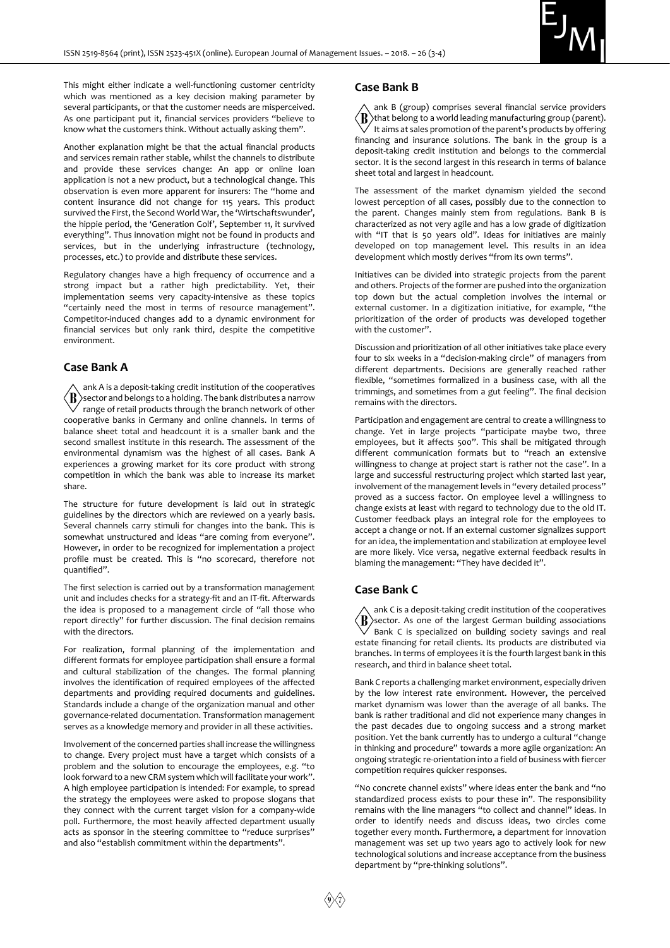This might either indicate a well-functioning customer centricity which was mentioned as a key decision making parameter by several participants, or that the customer needs are misperceived. As one participant put it, financial services providers "believe to know what the customers think. Without actually asking them".

Another explanation might be that the actual financial products and services remain rather stable, whilst the channels to distribute and provide these services change: An app or online loan application is not a new product, but a technological change. This observation is even more apparent for insurers: The "home and content insurance did not change for 115 years. This product survived the First, the Second World War, the 'Wirtschaftswunder', the hippie period, the 'Generation Golf', September 11, it survived everything". Thus innovation might not be found in products and services, but in the underlying infrastructure (technology, processes, etc.) to provide and distribute these services.

Regulatory changes have a high frequency of occurrence and a strong impact but a rather high predictability. Yet, their implementation seems very capacity-intensive as these topics "certainly need the most in terms of resource management". Competitor-induced changes add to a dynamic environment for financial services but only rank third, despite the competitive environment.

#### **Case Bank A**

ank A is a deposit-taking credit institution of the cooperatives  $\langle \texttt{R} \rangle$ sector and belongs to a holding. The bank distributes a narrow range of retail products through the branch network of other cooperative banks in Germany and online channels. In terms of balance sheet total and headcount it is a smaller bank and the second smallest institute in this research. The assessment of the environmental dynamism was the highest of all cases. Bank A experiences a growing market for its core product with strong competition in which the bank was able to increase its market share.

The structure for future development is laid out in strategic guidelines by the directors which are reviewed on a yearly basis. Several channels carry stimuli for changes into the bank. This is somewhat unstructured and ideas "are coming from everyone". However, in order to be recognized for implementation a project profile must be created. This is "no scorecard, therefore not quantified".

The first selection is carried out by a transformation management unit and includes checks for a strategy-fit and an IT-fit. Afterwards the idea is proposed to a management circle of "all those who report directly" for further discussion. The final decision remains with the directors.

For realization, formal planning of the implementation and different formats for employee participation shall ensure a formal and cultural stabilization of the changes. The formal planning involves the identification of required employees of the affected departments and providing required documents and guidelines. Standards include a change of the organization manual and other governance-related documentation. Transformation management serves as a knowledge memory and provider in all these activities.

Involvement of the concerned parties shall increase the willingness to change. Every project must have a target which consists of a problem and the solution to encourage the employees, e.g. "to look forward to a new CRM system which will facilitate your work". A high employee participation is intended: For example, to spread the strategy the employees were asked to propose slogans that they connect with the current target vision for a company-wide poll. Furthermore, the most heavily affected department usually acts as sponsor in the steering committee to "reduce surprises" and also "establish commitment within the departments".

#### **Case Bank B**

ank B (group) comprises several financial service providers  $\langle \boldsymbol{\mathrm{B}} \rangle$ that belong to a world leading manufacturing group (parent).  $\sqrt{\ }$  It aims at sales promotion of the parent's products by offering financing and insurance solutions. The bank in the group is a deposit-taking credit institution and belongs to the commercial sector. It is the second largest in this research in terms of balance sheet total and largest in headcount.

The assessment of the market dynamism yielded the second lowest perception of all cases, possibly due to the connection to the parent. Changes mainly stem from regulations. Bank B is characterized as not very agile and has a low grade of digitization with "IT that is 50 years old". Ideas for initiatives are mainly developed on top management level. This results in an idea development which mostly derives "from its own terms".

Initiatives can be divided into strategic projects from the parent and others. Projects of the former are pushed into the organization top down but the actual completion involves the internal or external customer. In a digitization initiative, for example, "the prioritization of the order of products was developed together with the customer".

Discussion and prioritization of all other initiatives take place every four to six weeks in a "decision-making circle" of managers from different departments. Decisions are generally reached rather flexible, "sometimes formalized in a business case, with all the trimmings, and sometimes from a gut feeling". The final decision remains with the directors.

Participation and engagement are central to create a willingness to change. Yet in large projects "participate maybe two, three employees, but it affects 500". This shall be mitigated through different communication formats but to "reach an extensive willingness to change at project start is rather not the case". In a large and successful restructuring project which started last year, involvement of the management levels in "every detailed process" proved as a success factor. On employee level a willingness to change exists at least with regard to technology due to the old IT. Customer feedback plays an integral role for the employees to accept a change or not. If an external customer signalizes support for an idea, the implementation and stabilization at employee level are more likely. Vice versa, negative external feedback results in blaming the management: "They have decided it".

#### **Case Bank C**

ank C is a deposit-taking credit institution of the cooperatives  $\langle \bm{\mathrm{B}} \rangle$ sector. As one of the largest German building associations  $\sqrt{ }$  Bank C is specialized on building society savings and real estate financing for retail clients. Its products are distributed via branches. In terms of employees it is the fourth largest bank in this research, and third in balance sheet total.

Bank C reports a challenging market environment, especially driven by the low interest rate environment. However, the perceived market dynamism was lower than the average of all banks. The bank is rather traditional and did not experience many changes in the past decades due to ongoing success and a strong market position. Yet the bank currently has to undergo a cultural "change in thinking and procedure" towards a more agile organization: An ongoing strategic re-orientation into a field of business with fiercer competition requires quicker responses.

"No concrete channel exists" where ideas enter the bank and "no standardized process exists to pour these in". The responsibility remains with the line managers "to collect and channel" ideas. In order to identify needs and discuss ideas, two circles come together every month. Furthermore, a department for innovation management was set up two years ago to actively look for new technological solutions and increase acceptance from the business department by "pre-thinking solutions".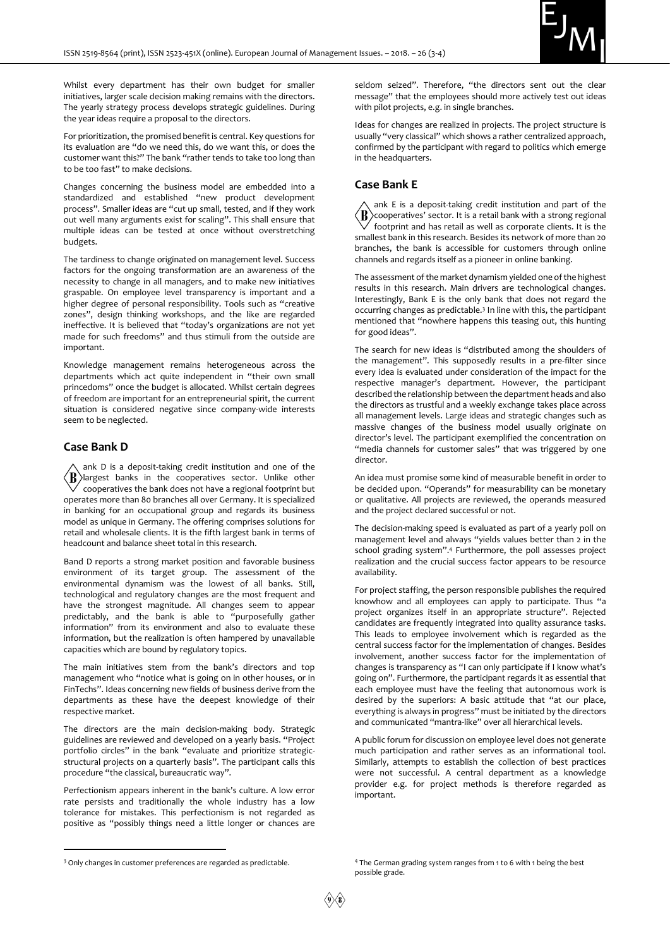

Whilst every department has their own budget for smaller initiatives, larger scale decision making remains with the directors. The yearly strategy process develops strategic guidelines. During the year ideas require a proposal to the directors.

For prioritization, the promised benefit is central. Key questions for its evaluation are "do we need this, do we want this, or does the customer want this?" The bank "rather tends to take too long than to be too fast" to make decisions.

Changes concerning the business model are embedded into a standardized and established "new product development process". Smaller ideas are "cut up small, tested, and if they work out well many arguments exist for scaling". This shall ensure that multiple ideas can be tested at once without overstretching budgets.

The tardiness to change originated on management level. Success factors for the ongoing transformation are an awareness of the necessity to change in all managers, and to make new initiatives graspable. On employee level transparency is important and a higher degree of personal responsibility. Tools such as "creative zones", design thinking workshops, and the like are regarded ineffective. It is believed that "today's organizations are not yet made for such freedoms" and thus stimuli from the outside are important.

Knowledge management remains heterogeneous across the departments which act quite independent in "their own small princedoms" once the budget is allocated. Whilst certain degrees of freedom are important for an entrepreneurial spirit, the current situation is considered negative since company-wide interests seem to be neglected.

#### **Case Bank D**

-

ank D is a deposit-taking credit institution and one of the  $\langle \text{B} \rangle$ largest banks in the cooperatives sector. Unlike other cooperatives the bank does not have a regional footprint but operates more than 80 branches all over Germany. It is specialized in banking for an occupational group and regards its business model as unique in Germany. The offering comprises solutions for retail and wholesale clients. It is the fifth largest bank in terms of headcount and balance sheet total in this research.

Band D reports a strong market position and favorable business environment of its target group. The assessment of the environmental dynamism was the lowest of all banks. Still, technological and regulatory changes are the most frequent and have the strongest magnitude. All changes seem to appear predictably, and the bank is able to "purposefully gather information" from its environment and also to evaluate these information, but the realization is often hampered by unavailable capacities which are bound by regulatory topics.

The main initiatives stem from the bank's directors and top management who "notice what is going on in other houses, or in FinTechs". Ideas concerning new fields of business derive from the departments as these have the deepest knowledge of their respective market.

The directors are the main decision-making body. Strategic guidelines are reviewed and developed on a yearly basis. "Project portfolio circles" in the bank "evaluate and prioritize strategicstructural projects on a quarterly basis". The participant calls this procedure "the classical, bureaucratic way".

Perfectionism appears inherent in the bank's culture. A low error rate persists and traditionally the whole industry has a low tolerance for mistakes. This perfectionism is not regarded as positive as "possibly things need a little longer or chances are seldom seized". Therefore, "the directors sent out the clear message" that the employees should more actively test out ideas with pilot projects, e.g. in single branches.

Ideas for changes are realized in projects. The project structure is usually "very classical" which shows a rather centralized approach, confirmed by the participant with regard to politics which emerge in the headquarters.

#### **Case Bank E**

ank E is a deposit-taking credit institution and part of the  $\langle \mathbf{B} \rangle$  $\lambda$ cooperatives' sector. It is a retail bank with a strong regional footprint and has retail as well as corporate clients. It is the smallest bank in this research. Besides its network of more than 20 branches, the bank is accessible for customers through online channels and regards itself as a pioneer in online banking.

The assessment of the market dynamism yielded one of the highest results in this research. Main drivers are technological changes. Interestingly, Bank E is the only bank that does not regard the occurring changes as predictable.<sup>3</sup> In line with this, the participant mentioned that "nowhere happens this teasing out, this hunting for good ideas".

The search for new ideas is "distributed among the shoulders of the management". This supposedly results in a pre-filter since every idea is evaluated under consideration of the impact for the respective manager's department. However, the participant described the relationship between the department heads and also the directors as trustful and a weekly exchange takes place across all management levels. Large ideas and strategic changes such as massive changes of the business model usually originate on director's level. The participant exemplified the concentration on "media channels for customer sales" that was triggered by one director.

An idea must promise some kind of measurable benefit in order to be decided upon. "Operands" for measurability can be monetary or qualitative. All projects are reviewed, the operands measured and the project declared successful or not.

The decision-making speed is evaluated as part of a yearly poll on management level and always "yields values better than 2 in the school grading system".<sup>4</sup> Furthermore, the poll assesses project realization and the crucial success factor appears to be resource availability.

For project staffing, the person responsible publishes the required knowhow and all employees can apply to participate. Thus "a project organizes itself in an appropriate structure". Rejected candidates are frequently integrated into quality assurance tasks. This leads to employee involvement which is regarded as the central success factor for the implementation of changes. Besides involvement, another success factor for the implementation of changes is transparency as "I can only participate if I know what's going on". Furthermore, the participant regards it as essential that each employee must have the feeling that autonomous work is desired by the superiors: A basic attitude that "at our place, everything is always in progress" must be initiated by the directors and communicated "mantra-like" over all hierarchical levels.

A public forum for discussion on employee level does not generate much participation and rather serves as an informational tool. Similarly, attempts to establish the collection of best practices were not successful. A central department as a knowledge provider e.g. for project methods is therefore regarded as important.

<sup>&</sup>lt;sup>3</sup> Only changes in customer preferences are regarded as predictable.

<sup>4</sup> The German grading system ranges from 1 to 6 with 1 being the best possible grade.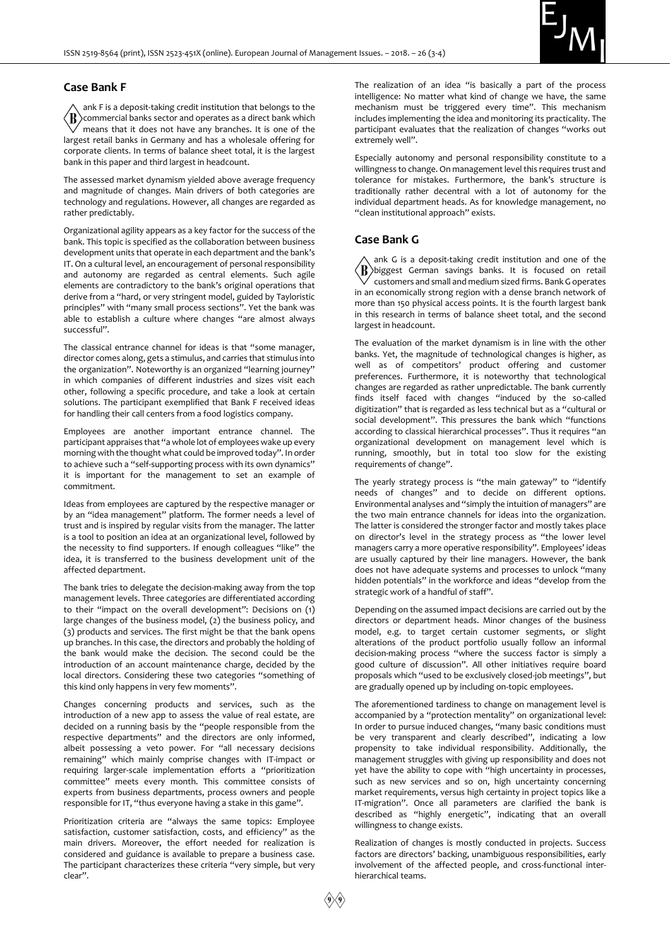

#### **Case Bank F**

ank F is a deposit-taking credit institution that belongs to the ⟨B commercial banks sector and operates as a direct bank which means that it does not have any branches. It is one of the largest retail banks in Germany and has a wholesale offering for corporate clients. In terms of balance sheet total, it is the largest bank in this paper and third largest in headcount.

The assessed market dynamism yielded above average frequency and magnitude of changes. Main drivers of both categories are technology and regulations. However, all changes are regarded as rather predictably.

Organizational agility appears as a key factor for the success of the bank. This topic is specified as the collaboration between business development units that operate in each department and the bank's IT. On a cultural level, an encouragement of personal responsibility and autonomy are regarded as central elements. Such agile elements are contradictory to the bank's original operations that derive from a "hard, or very stringent model, guided by Tayloristic principles" with "many small process sections". Yet the bank was able to establish a culture where changes "are almost always successful".

The classical entrance channel for ideas is that "some manager, director comes along, gets a stimulus, and carries that stimulus into the organization". Noteworthy is an organized "learning journey" in which companies of different industries and sizes visit each other, following a specific procedure, and take a look at certain solutions. The participant exemplified that Bank F received ideas for handling their call centers from a food logistics company.

Employees are another important entrance channel. The participant appraises that "a whole lot of employees wake up every morning with the thought what could be improved today". In order to achieve such a "self-supporting process with its own dynamics" it is important for the management to set an example of commitment.

Ideas from employees are captured by the respective manager or by an "idea management" platform. The former needs a level of trust and is inspired by regular visits from the manager. The latter is a tool to position an idea at an organizational level, followed by the necessity to find supporters. If enough colleagues "like" the idea, it is transferred to the business development unit of the affected department.

The bank tries to delegate the decision-making away from the top management levels. Three categories are differentiated according to their "impact on the overall development": Decisions on (1) large changes of the business model, (2) the business policy, and (3) products and services. The first might be that the bank opens up branches. In this case, the directors and probably the holding of the bank would make the decision. The second could be the introduction of an account maintenance charge, decided by the local directors. Considering these two categories "something of this kind only happens in very few moments".

Changes concerning products and services, such as the introduction of a new app to assess the value of real estate, are decided on a running basis by the "people responsible from the respective departments" and the directors are only informed, albeit possessing a veto power. For "all necessary decisions remaining" which mainly comprise changes with IT-impact or requiring larger-scale implementation efforts a "prioritization committee" meets every month. This committee consists of experts from business departments, process owners and people responsible for IT, "thus everyone having a stake in this game".

Prioritization criteria are "always the same topics: Employee satisfaction, customer satisfaction, costs, and efficiency" as the main drivers. Moreover, the effort needed for realization is considered and guidance is available to prepare a business case. The participant characterizes these criteria "very simple, but very clear".

The realization of an idea "is basically a part of the process intelligence: No matter what kind of change we have, the same mechanism must be triggered every time". This mechanism includes implementing the idea and monitoring its practicality. The participant evaluates that the realization of changes "works out extremely well".

Especially autonomy and personal responsibility constitute to a willingness to change. On management level this requires trust and tolerance for mistakes. Furthermore, the bank's structure is traditionally rather decentral with a lot of autonomy for the individual department heads. As for knowledge management, no "clean institutional approach" exists.

#### **Case Bank G**

ank G is a deposit-taking credit institution and one of the  $\langle \text{R} \rangle$ biggest German savings banks. It is focused on retail  $\sqrt{\ }$  customers and small and medium sized firms. Bank G operates in an economically strong region with a dense branch network of more than 150 physical access points. It is the fourth largest bank in this research in terms of balance sheet total, and the second largest in headcount.

The evaluation of the market dynamism is in line with the other banks. Yet, the magnitude of technological changes is higher, as well as of competitors' product offering and customer preferences. Furthermore, it is noteworthy that technological changes are regarded as rather unpredictable. The bank currently finds itself faced with changes "induced by the so-called digitization" that is regarded as less technical but as a "cultural or social development". This pressures the bank which "functions according to classical hierarchical processes". Thus it requires "an organizational development on management level which is running, smoothly, but in total too slow for the existing requirements of change".

The yearly strategy process is "the main gateway" to "identify needs of changes" and to decide on different options. Environmental analyses and "simply the intuition of managers" are the two main entrance channels for ideas into the organization. The latter is considered the stronger factor and mostly takes place on director's level in the strategy process as "the lower level managers carry a more operative responsibility". Employees' ideas are usually captured by their line managers. However, the bank does not have adequate systems and processes to unlock "many hidden potentials" in the workforce and ideas "develop from the strategic work of a handful of staff".

Depending on the assumed impact decisions are carried out by the directors or department heads. Minor changes of the business model, e.g. to target certain customer segments, or slight alterations of the product portfolio usually follow an informal decision-making process "where the success factor is simply a good culture of discussion". All other initiatives require board proposals which "used to be exclusively closed-job meetings", but are gradually opened up by including on-topic employees.

The aforementioned tardiness to change on management level is accompanied by a "protection mentality" on organizational level: In order to pursue induced changes, "many basic conditions must be very transparent and clearly described", indicating a low propensity to take individual responsibility. Additionally, the management struggles with giving up responsibility and does not yet have the ability to cope with "high uncertainty in processes, such as new services and so on, high uncertainty concerning market requirements, versus high certainty in project topics like a IT-migration". Once all parameters are clarified the bank is described as "highly energetic", indicating that an overall willingness to change exists.

Realization of changes is mostly conducted in projects. Success factors are directors' backing, unambiguous responsibilities, early involvement of the affected people, and cross-functional interhierarchical teams.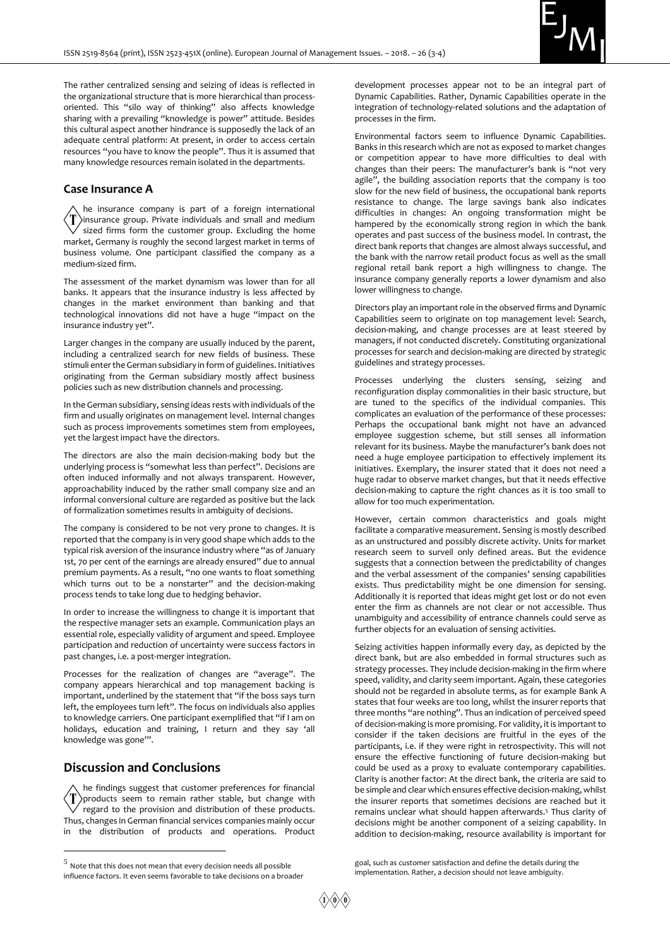

The rather centralized sensing and seizing of ideas is reflected in the organizational structure that is more hierarchical than processoriented. This "silo way of thinking" also affects knowledge sharing with a prevailing "knowledge is power" attitude. Besides this cultural aspect another hindrance is supposedly the lack of an adequate central platform: At present, in order to access certain resources "you have to know the people". Thus it is assumed that many knowledge resources remain isolated in the departments.

#### **Case Insurance A**

he insurance company is part of a foreign international insurance group. Private individuals and small and medium sized firms form the customer group. Excluding the home market, Germany is roughly the second largest market in terms of business volume. One participant classified the company as a medium-sized firm.

The assessment of the market dynamism was lower than for all banks. It appears that the insurance industry is less affected by changes in the market environment than banking and that technological innovations did not have a huge "impact on the insurance industry yet".

Larger changes in the company are usually induced by the parent, including a centralized search for new fields of business. These stimuli enter the German subsidiary in form of guidelines. Initiatives originating from the German subsidiary mostly affect business policies such as new distribution channels and processing.

In the German subsidiary, sensing ideas rests with individuals of the firm and usually originates on management level. Internal changes such as process improvements sometimes stem from employees, yet the largest impact have the directors.

The directors are also the main decision-making body but the underlying process is "somewhat less than perfect". Decisions are often induced informally and not always transparent. However, approachability induced by the rather small company size and an informal conversional culture are regarded as positive but the lack of formalization sometimes results in ambiguity of decisions.

The company is considered to be not very prone to changes. It is reported that the company is in very good shape which adds to the typical risk aversion of the insurance industry where "as of January 1st, 70 per cent of the earnings are already ensured" due to annual premium payments. As a result, "no one wants to float something which turns out to be a nonstarter" and the decision-making process tends to take long due to hedging behavior.

In order to increase the willingness to change it is important that the respective manager sets an example. Communication plays an essential role, especially validity of argument and speed. Employee participation and reduction of uncertainty were success factors in past changes, i.e. a post-merger integration.

Processes for the realization of changes are "average". The company appears hierarchical and top management backing is important, underlined by the statement that "if the boss says turn left, the employees turn left". The focus on individuals also applies to knowledge carriers. One participant exemplified that "if I am on holidays, education and training, I return and they say 'all knowledge was gone'".

## **Discussion and Conclusions**

-

he findings suggest that customer preferences for financial  $\langle T \rangle$ products seem to remain rather stable, but change with  $'$  regard to the provision and distribution of these products. Thus, changes in German financial services companies mainly occur in the distribution of products and operations. Product

development processes appear not to be an integral part of Dynamic Capabilities. Rather, Dynamic Capabilities operate in the integration of technology-related solutions and the adaptation of processes in the firm.

Environmental factors seem to influence Dynamic Capabilities. Banks in this research which are not as exposed to market changes or competition appear to have more difficulties to deal with changes than their peers: The manufacturer's bank is "not very agile", the building association reports that the company is too slow for the new field of business, the occupational bank reports resistance to change. The large savings bank also indicates difficulties in changes: An ongoing transformation might be hampered by the economically strong region in which the bank operates and past success of the business model. In contrast, the direct bank reports that changes are almost always successful, and the bank with the narrow retail product focus as well as the small regional retail bank report a high willingness to change. The insurance company generally reports a lower dynamism and also lower willingness to change.

Directors play an important role in the observed firms and Dynamic Capabilities seem to originate on top management level: Search, decision-making, and change processes are at least steered by managers, if not conducted discretely. Constituting organizational processes for search and decision-making are directed by strategic guidelines and strategy processes.

Processes underlying the clusters sensing, seizing and reconfiguration display commonalities in their basic structure, but are tuned to the specifics of the individual companies. This complicates an evaluation of the performance of these processes: Perhaps the occupational bank might not have an advanced employee suggestion scheme, but still senses all information relevant for its business. Maybe the manufacturer's bank does not need a huge employee participation to effectively implement its initiatives. Exemplary, the insurer stated that it does not need a huge radar to observe market changes, but that it needs effective decision-making to capture the right chances as it is too small to allow for too much experimentation.

However, certain common characteristics and goals might facilitate a comparative measurement. Sensing is mostly described as an unstructured and possibly discrete activity. Units for market research seem to surveil only defined areas. But the evidence suggests that a connection between the predictability of changes and the verbal assessment of the companies' sensing capabilities exists. Thus predictability might be one dimension for sensing. Additionally it is reported that ideas might get lost or do not even enter the firm as channels are not clear or not accessible. Thus unambiguity and accessibility of entrance channels could serve as further objects for an evaluation of sensing activities.

Seizing activities happen informally every day, as depicted by the direct bank, but are also embedded in formal structures such as strategy processes. They include decision-making in the firm where speed, validity, and clarity seem important. Again, these categories should not be regarded in absolute terms, as for example Bank A states that four weeks are too long, whilst the insurer reports that three months "are nothing". Thus an indication of perceived speed of decision-making is more promising. For validity, it is important to consider if the taken decisions are fruitful in the eyes of the participants, i.e. if they were right in retrospectivity. This will not ensure the effective functioning of future decision-making but could be used as a proxy to evaluate contemporary capabilities. Clarity is another factor: At the direct bank, the criteria are said to be simple and clear which ensures effective decision-making, whilst the insurer reports that sometimes decisions are reached but it remains unclear what should happen afterwards.<sup>5</sup> Thus clarity of decisions might be another component of a seizing capability. In addition to decision-making, resource availability is important for

goal, such as customer satisfaction and define the details during the implementation. Rather, a decision should not leave ambiguity.

 $5$  Note that this does not mean that every decision needs all possible influence factors. It even seems favorable to take decisions on a broader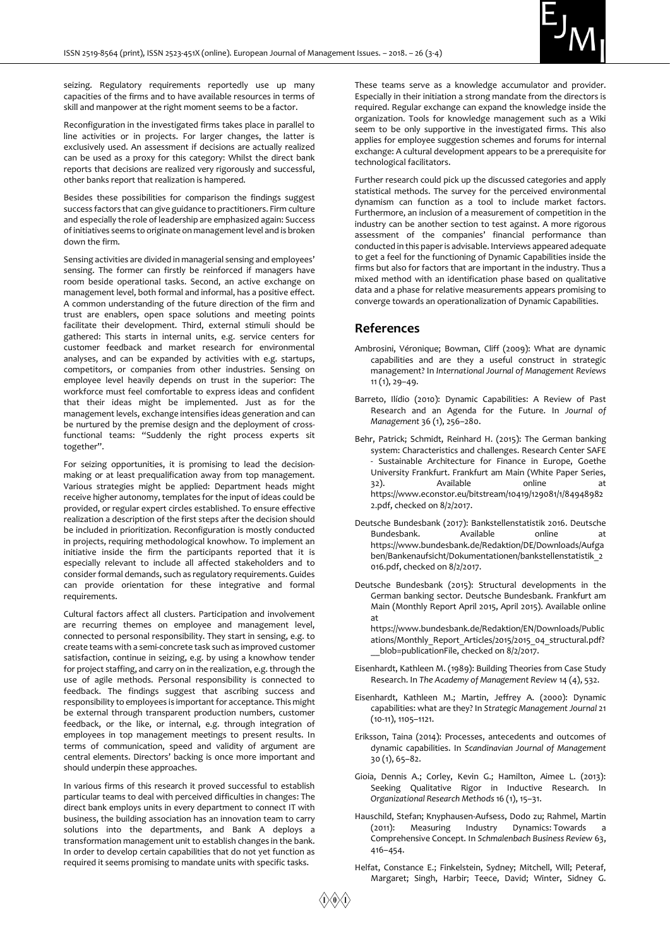

seizing. Regulatory requirements reportedly use up many capacities of the firms and to have available resources in terms of skill and manpower at the right moment seems to be a factor.

Reconfiguration in the investigated firms takes place in parallel to line activities or in projects. For larger changes, the latter is exclusively used. An assessment if decisions are actually realized can be used as a proxy for this category: Whilst the direct bank reports that decisions are realized very rigorously and successful, other banks report that realization is hampered.

Besides these possibilities for comparison the findings suggest success factors that can give guidance to practitioners. Firm culture and especially the role of leadership are emphasized again: Success of initiatives seems to originate on management level and is broken down the firm.

Sensing activities are divided in managerial sensing and employees' sensing. The former can firstly be reinforced if managers have room beside operational tasks. Second, an active exchange on management level, both formal and informal, has a positive effect. A common understanding of the future direction of the firm and trust are enablers, open space solutions and meeting points facilitate their development. Third, external stimuli should be gathered: This starts in internal units, e.g. service centers for customer feedback and market research for environmental analyses, and can be expanded by activities with e.g. startups, competitors, or companies from other industries. Sensing on employee level heavily depends on trust in the superior: The workforce must feel comfortable to express ideas and confident that their ideas might be implemented. Just as for the management levels, exchange intensifies ideas generation and can be nurtured by the premise design and the deployment of crossfunctional teams: "Suddenly the right process experts sit together".

For seizing opportunities, it is promising to lead the decisionmaking or at least prequalification away from top management. Various strategies might be applied: Department heads might receive higher autonomy, templates for the input of ideas could be provided, or regular expert circles established. To ensure effective realization a description of the first steps after the decision should be included in prioritization. Reconfiguration is mostly conducted in projects, requiring methodological knowhow. To implement an initiative inside the firm the participants reported that it is especially relevant to include all affected stakeholders and to consider formal demands, such as regulatory requirements. Guides can provide orientation for these integrative and formal requirements.

Cultural factors affect all clusters. Participation and involvement are recurring themes on employee and management level, connected to personal responsibility. They start in sensing, e.g. to create teams with a semi-concrete task such as improved customer satisfaction, continue in seizing, e.g. by using a knowhow tender for project staffing, and carry on in the realization, e.g. through the use of agile methods. Personal responsibility is connected to feedback. The findings suggest that ascribing success and responsibility to employees is important for acceptance. This might be external through transparent production numbers, customer feedback, or the like, or internal, e.g. through integration of employees in top management meetings to present results. In terms of communication, speed and validity of argument are central elements. Directors' backing is once more important and should underpin these approaches.

In various firms of this research it proved successful to establish particular teams to deal with perceived difficulties in changes: The direct bank employs units in every department to connect IT with business, the building association has an innovation team to carry solutions into the departments, and Bank A deploys a transformation management unit to establish changes in the bank. In order to develop certain capabilities that do not yet function as required it seems promising to mandate units with specific tasks.

These teams serve as a knowledge accumulator and provider. Especially in their initiation a strong mandate from the directors is required. Regular exchange can expand the knowledge inside the organization. Tools for knowledge management such as a Wiki seem to be only supportive in the investigated firms. This also applies for employee suggestion schemes and forums for internal exchange: A cultural development appears to be a prerequisite for technological facilitators.

Further research could pick up the discussed categories and apply statistical methods. The survey for the perceived environmental dynamism can function as a tool to include market factors. Furthermore, an inclusion of a measurement of competition in the industry can be another section to test against. A more rigorous assessment of the companies' financial performance than conducted in this paper is advisable. Interviews appeared adequate to get a feel for the functioning of Dynamic Capabilities inside the firms but also for factors that are important in the industry. Thus a mixed method with an identification phase based on qualitative data and a phase for relative measurements appears promising to converge towards an operationalization of Dynamic Capabilities.

#### **References**

- Ambrosini, Véronique; Bowman, Cliff (2009): What are dynamic capabilities and are they a useful construct in strategic management? In *International Journal of Management Reviews*  11 (1), 29–49.
- Barreto, Ilídio (2010): Dynamic Capabilities: A Review of Past Research and an Agenda for the Future. In *Journal of Management* 36 (1), 256–280.
- Behr, Patrick; Schmidt, Reinhard H. (2015): The German banking system: Characteristics and challenges. Research Center SAFE Sustainable Architecture for Finance in Europe, Goethe University Frankfurt. Frankfurt am Main (White Paper Series, 32). Available online at https://www.econstor.eu/bitstream/10419/129081/1/84948982 2.pdf, checked on 8/2/2017.
- Deutsche Bundesbank (2017): Bankstellenstatistik 2016. Deutsche Bundesbank. Available online at https://www.bundesbank.de/Redaktion/DE/Downloads/Aufga ben/Bankenaufsicht/Dokumentationen/bankstellenstatistik\_2 016.pdf, checked on 8/2/2017.
- Deutsche Bundesbank (2015): Structural developments in the German banking sector. Deutsche Bundesbank. Frankfurt am Main (Monthly Report April 2015, April 2015). Available online at
	- https://www.bundesbank.de/Redaktion/EN/Downloads/Public ations/Monthly Report Articles/2015/2015\_04 structural.pdf? blob=publicationFile, checked on 8/2/2017.
- Eisenhardt, Kathleen M. (1989): Building Theories from Case Study Research. In *The Academy of Management Review* 14 (4), 532.
- Eisenhardt, Kathleen M.; Martin, Jeffrey A. (2000): Dynamic capabilities: what are they? In *Strategic Management Journal* 21 (10-11), 1105–1121.
- Eriksson, Taina (2014): Processes, antecedents and outcomes of dynamic capabilities. In *Scandinavian Journal of Management*  30 (1), 65–82.
- Gioia, Dennis A.; Corley, Kevin G.; Hamilton, Aimee L. (2013): Seeking Qualitative Rigor in Inductive Research. In *Organizational Research Methods* 16 (1), 15–31.
- Hauschild, Stefan; Knyphausen-Aufsess, Dodo zu; Rahmel, Martin (2011): Measuring Industry Dynamics: Towards a Comprehensive Concept. In *Schmalenbach Business Review* 63, 416–454.
- Helfat, Constance E.; Finkelstein, Sydney; Mitchell, Will; Peteraf, Margaret; Singh, Harbir; Teece, David; Winter, Sidney G.